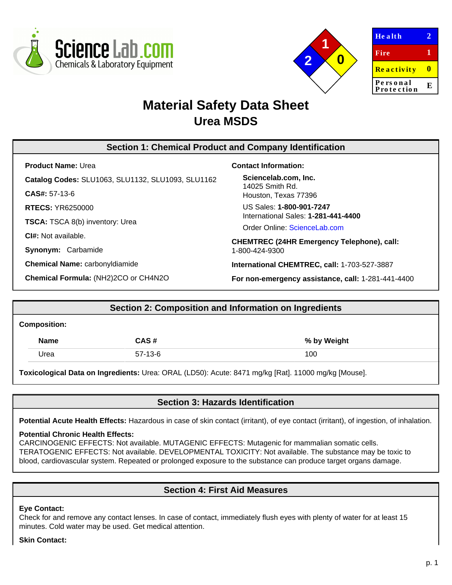



| <b>Health</b>          |   |
|------------------------|---|
| Fire                   | 1 |
| <b>Reactivity</b>      | Ш |
| Personal<br>Protection | E |

# **Material Safety Data Sheet Urea MSDS**

# **Section 1: Chemical Product and Company Identification**

**Product Name:** Urea

**Catalog Codes:** SLU1063, SLU1132, SLU1093, SLU1162

**CAS#:** 57-13-6

**RTECS:** YR6250000

**TSCA:** TSCA 8(b) inventory: Urea

**CI#:** Not available.

**Synonym:** Carbamide

**Chemical Name:** carbonyldiamide

**Chemical Formula:** (NH2)2CO or CH4N2O

## **Contact Information:**

**Sciencelab.com, Inc.** 14025 Smith Rd. Houston, Texas 77396

US Sales: **1-800-901-7247** International Sales: **1-281-441-4400**

Order Online: [ScienceLab.com](http://www.sciencelab.com/)

**CHEMTREC (24HR Emergency Telephone), call:** 1-800-424-9300

**International CHEMTREC, call:** 1-703-527-3887

**For non-emergency assistance, call:** 1-281-441-4400

# **Section 2: Composition and Information on Ingredients**

#### **Composition:**

| <b>Name</b> | CAS #     | % by Weight |
|-------------|-----------|-------------|
| Jrea        | $57-13-6$ | 100         |

**Toxicological Data on Ingredients:** Urea: ORAL (LD50): Acute: 8471 mg/kg [Rat]. 11000 mg/kg [Mouse].

# **Section 3: Hazards Identification**

**Potential Acute Health Effects:** Hazardous in case of skin contact (irritant), of eye contact (irritant), of ingestion, of inhalation.

#### **Potential Chronic Health Effects:**

CARCINOGENIC EFFECTS: Not available. MUTAGENIC EFFECTS: Mutagenic for mammalian somatic cells. TERATOGENIC EFFECTS: Not available. DEVELOPMENTAL TOXICITY: Not available. The substance may be toxic to blood, cardiovascular system. Repeated or prolonged exposure to the substance can produce target organs damage.

# **Section 4: First Aid Measures**

#### **Eye Contact:**

Check for and remove any contact lenses. In case of contact, immediately flush eyes with plenty of water for at least 15 minutes. Cold water may be used. Get medical attention.

#### **Skin Contact:**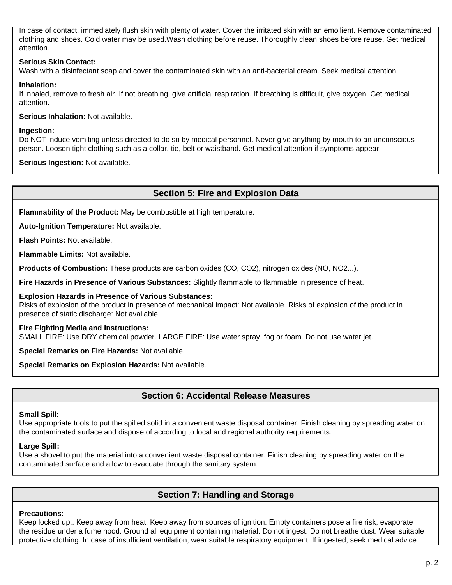In case of contact, immediately flush skin with plenty of water. Cover the irritated skin with an emollient. Remove contaminated clothing and shoes. Cold water may be used.Wash clothing before reuse. Thoroughly clean shoes before reuse. Get medical attention.

## **Serious Skin Contact:**

Wash with a disinfectant soap and cover the contaminated skin with an anti-bacterial cream. Seek medical attention.

## **Inhalation:**

If inhaled, remove to fresh air. If not breathing, give artificial respiration. If breathing is difficult, give oxygen. Get medical attention.

**Serious Inhalation:** Not available.

#### **Ingestion:**

Do NOT induce vomiting unless directed to do so by medical personnel. Never give anything by mouth to an unconscious person. Loosen tight clothing such as a collar, tie, belt or waistband. Get medical attention if symptoms appear.

**Serious Ingestion:** Not available.

# **Section 5: Fire and Explosion Data**

**Flammability of the Product:** May be combustible at high temperature.

**Auto-Ignition Temperature:** Not available.

**Flash Points:** Not available.

**Flammable Limits:** Not available.

**Products of Combustion:** These products are carbon oxides (CO, CO2), nitrogen oxides (NO, NO2...).

**Fire Hazards in Presence of Various Substances:** Slightly flammable to flammable in presence of heat.

#### **Explosion Hazards in Presence of Various Substances:**

Risks of explosion of the product in presence of mechanical impact: Not available. Risks of explosion of the product in presence of static discharge: Not available.

#### **Fire Fighting Media and Instructions:**

SMALL FIRE: Use DRY chemical powder. LARGE FIRE: Use water spray, fog or foam. Do not use water jet.

**Special Remarks on Fire Hazards:** Not available.

**Special Remarks on Explosion Hazards:** Not available.

# **Section 6: Accidental Release Measures**

#### **Small Spill:**

Use appropriate tools to put the spilled solid in a convenient waste disposal container. Finish cleaning by spreading water on the contaminated surface and dispose of according to local and regional authority requirements.

## **Large Spill:**

Use a shovel to put the material into a convenient waste disposal container. Finish cleaning by spreading water on the contaminated surface and allow to evacuate through the sanitary system.

# **Section 7: Handling and Storage**

## **Precautions:**

Keep locked up.. Keep away from heat. Keep away from sources of ignition. Empty containers pose a fire risk, evaporate the residue under a fume hood. Ground all equipment containing material. Do not ingest. Do not breathe dust. Wear suitable protective clothing. In case of insufficient ventilation, wear suitable respiratory equipment. If ingested, seek medical advice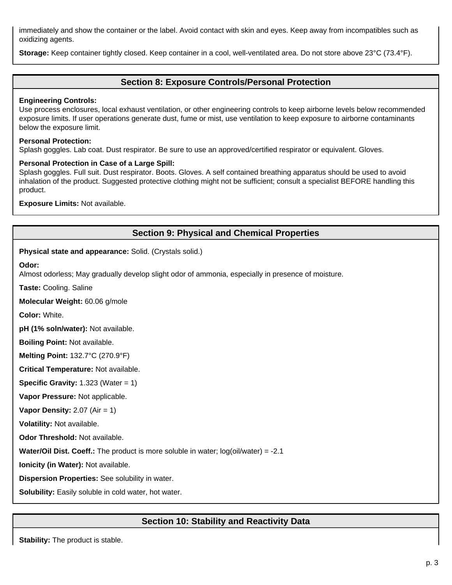immediately and show the container or the label. Avoid contact with skin and eyes. Keep away from incompatibles such as oxidizing agents.

**Storage:** Keep container tightly closed. Keep container in a cool, well-ventilated area. Do not store above 23°C (73.4°F).

# **Section 8: Exposure Controls/Personal Protection**

## **Engineering Controls:**

Use process enclosures, local exhaust ventilation, or other engineering controls to keep airborne levels below recommended exposure limits. If user operations generate dust, fume or mist, use ventilation to keep exposure to airborne contaminants below the exposure limit.

## **Personal Protection:**

Splash goggles. Lab coat. Dust respirator. Be sure to use an approved/certified respirator or equivalent. Gloves.

## **Personal Protection in Case of a Large Spill:**

Splash goggles. Full suit. Dust respirator. Boots. Gloves. A self contained breathing apparatus should be used to avoid inhalation of the product. Suggested protective clothing might not be sufficient; consult a specialist BEFORE handling this product.

**Exposure Limits:** Not available.

# **Section 9: Physical and Chemical Properties**

**Physical state and appearance:** Solid. (Crystals solid.)

**Odor:**

Almost odorless; May gradually develop slight odor of ammonia, especially in presence of moisture.

**Taste:** Cooling. Saline

**Molecular Weight:** 60.06 g/mole

**Color:** White.

**pH (1% soln/water):** Not available.

**Boiling Point:** Not available.

**Melting Point:** 132.7°C (270.9°F)

**Critical Temperature:** Not available.

**Specific Gravity:** 1.323 (Water = 1)

**Vapor Pressure:** Not applicable.

**Vapor Density:** 2.07 (Air = 1)

**Volatility:** Not available.

**Odor Threshold:** Not available.

**Water/Oil Dist. Coeff.:** The product is more soluble in water; log(oil/water) = -2.1

**Ionicity (in Water):** Not available.

**Dispersion Properties:** See solubility in water.

**Solubility:** Easily soluble in cold water, hot water.

# **Section 10: Stability and Reactivity Data**

**Stability:** The product is stable.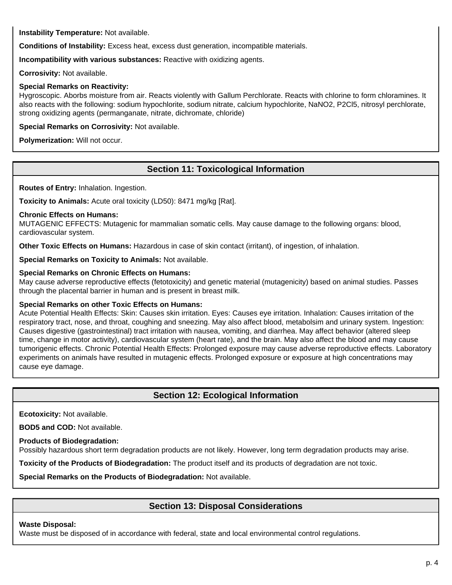**Instability Temperature:** Not available.

**Conditions of Instability:** Excess heat, excess dust generation, incompatible materials.

**Incompatibility with various substances:** Reactive with oxidizing agents.

**Corrosivity:** Not available.

## **Special Remarks on Reactivity:**

Hygroscopic. Aborbs moisture from air. Reacts violently with Gallum Perchlorate. Reacts with chlorine to form chloramines. It also reacts with the following: sodium hypochlorite, sodium nitrate, calcium hypochlorite, NaNO2, P2Cl5, nitrosyl perchlorate, strong oxidizing agents (permanganate, nitrate, dichromate, chloride)

**Special Remarks on Corrosivity:** Not available.

**Polymerization:** Will not occur.

# **Section 11: Toxicological Information**

**Routes of Entry:** Inhalation. Ingestion.

**Toxicity to Animals:** Acute oral toxicity (LD50): 8471 mg/kg [Rat].

## **Chronic Effects on Humans:**

MUTAGENIC EFFECTS: Mutagenic for mammalian somatic cells. May cause damage to the following organs: blood, cardiovascular system.

**Other Toxic Effects on Humans:** Hazardous in case of skin contact (irritant), of ingestion, of inhalation.

**Special Remarks on Toxicity to Animals:** Not available.

## **Special Remarks on Chronic Effects on Humans:**

May cause adverse reproductive effects (fetotoxicity) and genetic material (mutagenicity) based on animal studies. Passes through the placental barrier in human and is present in breast milk.

## **Special Remarks on other Toxic Effects on Humans:**

Acute Potential Health Effects: Skin: Causes skin irritation. Eyes: Causes eye irritation. Inhalation: Causes irritation of the respiratory tract, nose, and throat, coughing and sneezing. May also affect blood, metabolsim and urinary system. Ingestion: Causes digestive (gastrointestinal) tract irritation with nausea, vomiting, and diarrhea. May affect behavior (altered sleep time, change in motor activity), cardiovascular system (heart rate), and the brain. May also affect the blood and may cause tumorigenic effects. Chronic Potential Health Effects: Prolonged exposure may cause adverse reproductive effects. Laboratory experiments on animals have resulted in mutagenic effects. Prolonged exposure or exposure at high concentrations may cause eye damage.

## **Section 12: Ecological Information**

**Ecotoxicity:** Not available.

**BOD5 and COD:** Not available.

**Products of Biodegradation:**

Possibly hazardous short term degradation products are not likely. However, long term degradation products may arise.

**Toxicity of the Products of Biodegradation:** The product itself and its products of degradation are not toxic.

**Special Remarks on the Products of Biodegradation:** Not available.

# **Section 13: Disposal Considerations**

#### **Waste Disposal:**

Waste must be disposed of in accordance with federal, state and local environmental control regulations.